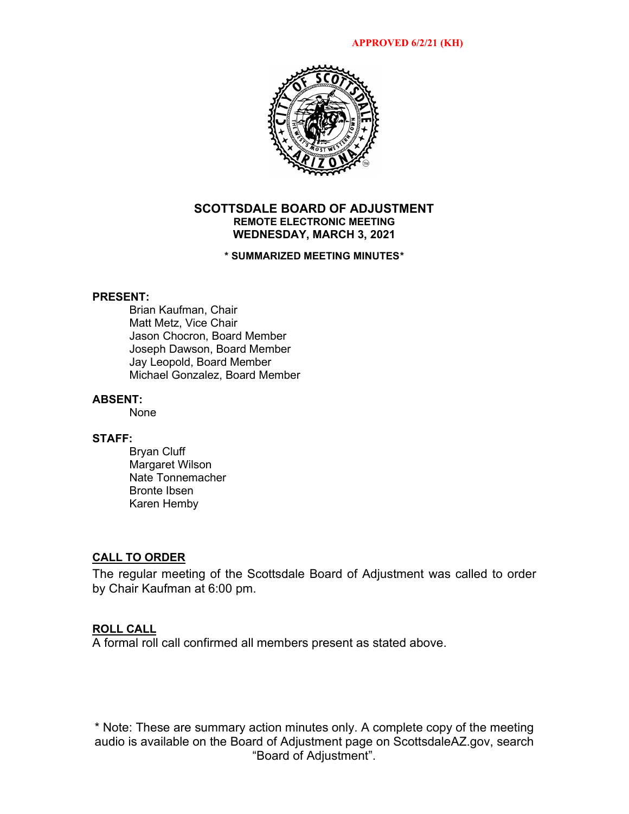

### **SCOTTSDALE BOARD OF ADJUSTMENT REMOTE ELECTRONIC MEETING WEDNESDAY, MARCH 3, 2021**

### **\* SUMMARIZED MEETING MINUTES\***

### **PRESENT:**

Brian Kaufman, Chair Matt Metz, Vice Chair Jason Chocron, Board Member Joseph Dawson, Board Member Jay Leopold, Board Member Michael Gonzalez, Board Member

### **ABSENT:**

None

#### **STAFF:**

Bryan Cluff Margaret Wilson Nate Tonnemacher Bronte Ibsen Karen Hemby

### **CALL TO ORDER**

The regular meeting of the Scottsdale Board of Adjustment was called to order by Chair Kaufman at 6:00 pm.

#### **ROLL CALL**

A formal roll call confirmed all members present as stated above.

\* Note: These are summary action minutes only. A complete copy of the meeting audio is available on the Board of Adjustment page on ScottsdaleAZ.gov, search "Board of Adjustment".